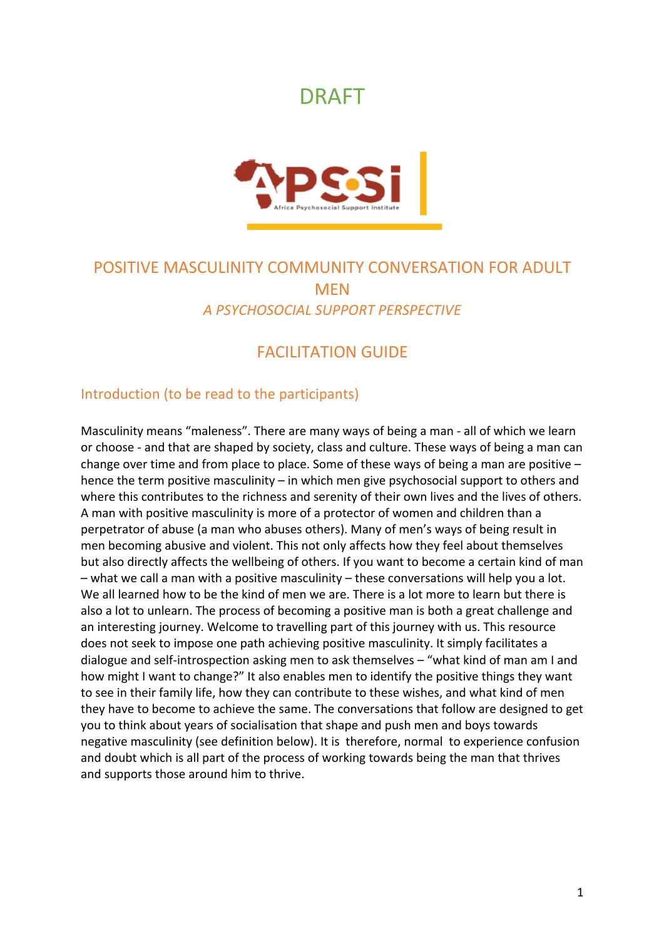# DRAFT



## POSITIVE MASCULINITY COMMUNITY CONVERSATION FOR ADULT **MEN** *A PSYCHOSOCIAL SUPPORT PERSPECTIVE*

## FACILITATION GUIDE

## Introduction (to be read to the participants)

Masculinity means "maleness". There are many ways of being a man - all of which we learn or choose - and that are shaped by society, class and culture. These ways of being a man can change over time and from place to place. Some of these ways of being a man are positive – hence the term positive masculinity – in which men give psychosocial support to others and where this contributes to the richness and serenity of their own lives and the lives of others. A man with positive masculinity is more of a protector of women and children than a perpetrator of abuse (a man who abuses others). Many of men's ways of being result in men becoming abusive and violent. This not only affects how they feel about themselves but also directly affects the wellbeing of others. If you want to become a certain kind of man – what we call a man with a positive masculinity – these conversations will help you a lot. We all learned how to be the kind of men we are. There is a lot more to learn but there is also a lot to unlearn. The process of becoming a positive man is both a great challenge and an interesting journey. Welcome to travelling part of this journey with us. This resource does not seek to impose one path achieving positive masculinity. It simply facilitates a dialogue and self-introspection asking men to ask themselves – "what kind of man am I and how might I want to change?" It also enables men to identify the positive things they want to see in their family life, how they can contribute to these wishes, and what kind of men they have to become to achieve the same. The conversations that follow are designed to get you to think about years of socialisation that shape and push men and boys towards negative masculinity (see definition below). It is therefore, normal to experience confusion and doubt which is all part of the process of working towards being the man that thrives and supports those around him to thrive.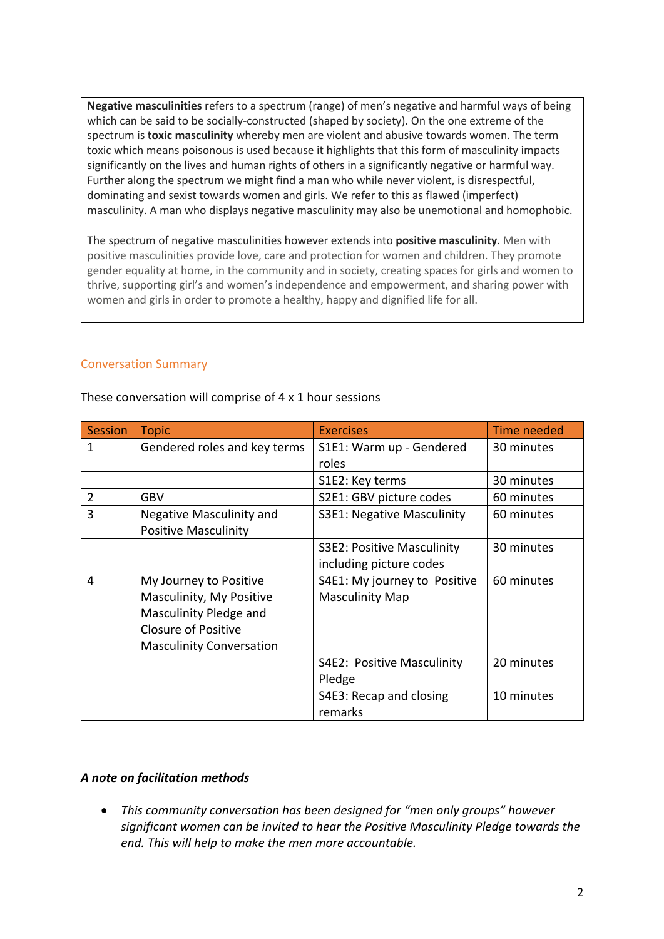**Negative masculinities** refers to a spectrum (range) of men's negative and harmful ways of being which can be said to be socially-constructed (shaped by society). On the one extreme of the spectrum is **toxic masculinity** whereby men are violent and abusive towards women. The term toxic which means poisonous is used because it highlights that this form of masculinity impacts significantly on the lives and human rights of others in a significantly negative or harmful way. Further along the spectrum we might find a man who while never violent, is disrespectful, dominating and sexist towards women and girls. We refer to this as flawed (imperfect) masculinity. A man who displays negative masculinity may also be unemotional and homophobic.

The spectrum of negative masculinities however extends into **positive masculinity**. Men with positive masculinities provide love, care and protection for women and children. They promote gender equality at home, in the community and in society, creating spaces for girls and women to thrive, supporting girl's and women's independence and empowerment, and sharing power with women and girls in order to promote a healthy, happy and dignified life for all.

## Conversation Summary

| Session        | <b>Topic</b>                    | <b>Exercises</b>             | Time needed |
|----------------|---------------------------------|------------------------------|-------------|
| 1              | Gendered roles and key terms    | S1E1: Warm up - Gendered     | 30 minutes  |
|                |                                 | roles                        |             |
|                |                                 | S1E2: Key terms              | 30 minutes  |
| $\overline{2}$ | <b>GBV</b>                      | S2E1: GBV picture codes      | 60 minutes  |
| 3              | <b>Negative Masculinity and</b> | S3E1: Negative Masculinity   | 60 minutes  |
|                | <b>Positive Masculinity</b>     |                              |             |
|                |                                 | S3E2: Positive Masculinity   | 30 minutes  |
|                |                                 | including picture codes      |             |
| 4              | My Journey to Positive          | S4E1: My journey to Positive | 60 minutes  |
|                | Masculinity, My Positive        | <b>Masculinity Map</b>       |             |
|                | Masculinity Pledge and          |                              |             |
|                | <b>Closure of Positive</b>      |                              |             |
|                | <b>Masculinity Conversation</b> |                              |             |
|                |                                 | S4E2: Positive Masculinity   | 20 minutes  |
|                |                                 | Pledge                       |             |
|                |                                 | S4E3: Recap and closing      | 10 minutes  |
|                |                                 | remarks                      |             |

These conversation will comprise of 4 x 1 hour sessions

#### *A note on facilitation methods*

• *This community conversation has been designed for "men only groups" however significant women can be invited to hear the Positive Masculinity Pledge towards the end. This will help to make the men more accountable.*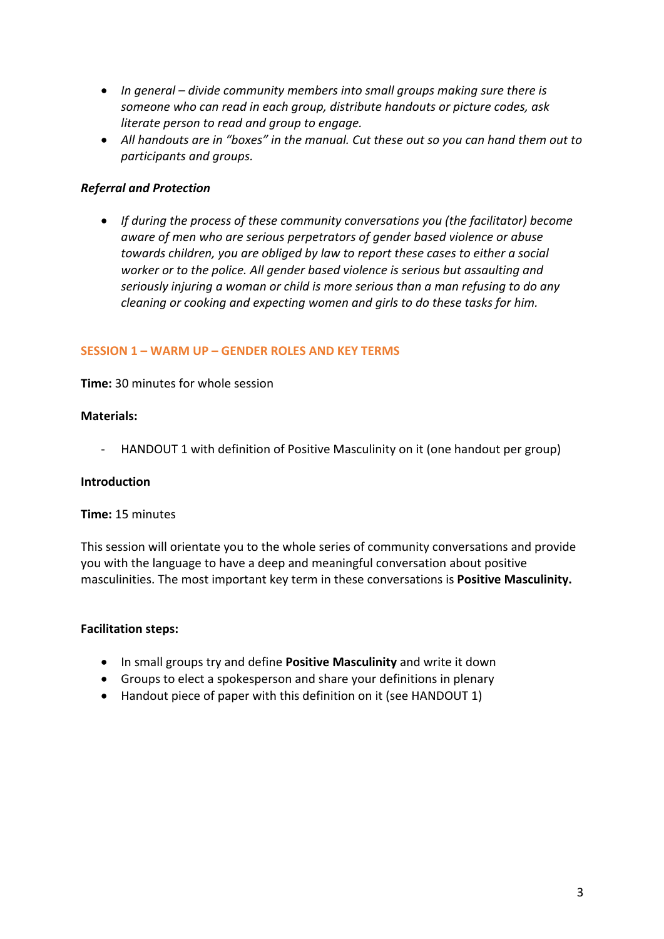- *In general – divide community members into small groups making sure there is someone who can read in each group, distribute handouts or picture codes, ask literate person to read and group to engage.*
- *All handouts are in "boxes" in the manual. Cut these out so you can hand them out to participants and groups.*

## *Referral and Protection*

• *If during the process of these community conversations you (the facilitator) become aware of men who are serious perpetrators of gender based violence or abuse towards children, you are obliged by law to report these cases to either a social worker or to the police. All gender based violence is serious but assaulting and seriously injuring a woman or child is more serious than a man refusing to do any cleaning or cooking and expecting women and girls to do these tasks for him.*

#### **SESSION 1 – WARM UP – GENDER ROLES AND KEY TERMS**

**Time:** 30 minutes for whole session

#### **Materials:**

- HANDOUT 1 with definition of Positive Masculinity on it (one handout per group)

#### **Introduction**

#### **Time:** 15 minutes

This session will orientate you to the whole series of community conversations and provide you with the language to have a deep and meaningful conversation about positive masculinities. The most important key term in these conversations is **Positive Masculinity.**

- In small groups try and define **Positive Masculinity** and write it down
- Groups to elect a spokesperson and share your definitions in plenary
- Handout piece of paper with this definition on it (see HANDOUT 1)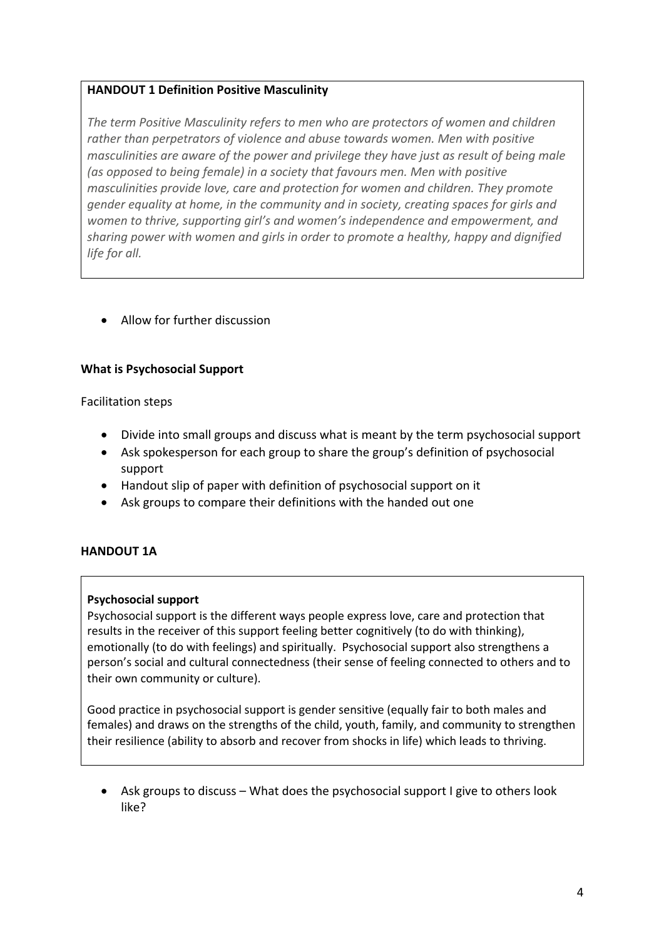## **HANDOUT 1 Definition Positive Masculinity**

*The term Positive Masculinity refers to men who are protectors of women and children rather than perpetrators of violence and abuse towards women. Men with positive masculinities are aware of the power and privilege they have just as result of being male (as opposed to being female) in a society that favours men. Men with positive masculinities provide love, care and protection for women and children. They promote gender equality at home, in the community and in society, creating spaces for girls and women to thrive, supporting girl's and women's independence and empowerment, and sharing power with women and girls in order to promote a healthy, happy and dignified life for all.*

• Allow for further discussion

## **What is Psychosocial Support**

Facilitation steps

- Divide into small groups and discuss what is meant by the term psychosocial support
- Ask spokesperson for each group to share the group's definition of psychosocial support
- Handout slip of paper with definition of psychosocial support on it
- Ask groups to compare their definitions with the handed out one

## **HANDOUT 1A**

#### **Psychosocial support**

Psychosocial support is the different ways people express love, care and protection that results in the receiver of this support feeling better cognitively (to do with thinking), emotionally (to do with feelings) and spiritually. Psychosocial support also strengthens a person's social and cultural connectedness (their sense of feeling connected to others and to their own community or culture).

Good practice in psychosocial support is gender sensitive (equally fair to both males and females) and draws on the strengths of the child, youth, family, and community to strengthen their resilience (ability to absorb and recover from shocks in life) which leads to thriving.

• Ask groups to discuss – What does the psychosocial support I give to others look like?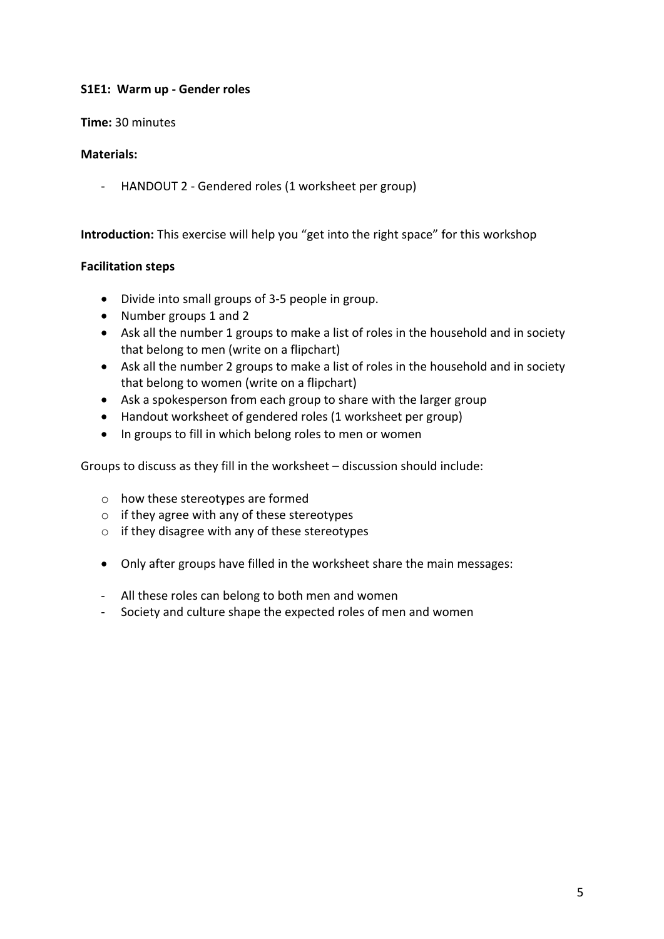## **S1E1: Warm up - Gender roles**

## **Time:** 30 minutes

## **Materials:**

- HANDOUT 2 - Gendered roles (1 worksheet per group)

**Introduction:** This exercise will help you "get into the right space" for this workshop

## **Facilitation steps**

- Divide into small groups of 3-5 people in group.
- Number groups 1 and 2
- Ask all the number 1 groups to make a list of roles in the household and in society that belong to men (write on a flipchart)
- Ask all the number 2 groups to make a list of roles in the household and in society that belong to women (write on a flipchart)
- Ask a spokesperson from each group to share with the larger group
- Handout worksheet of gendered roles (1 worksheet per group)
- In groups to fill in which belong roles to men or women

Groups to discuss as they fill in the worksheet – discussion should include:

- o how these stereotypes are formed
- o if they agree with any of these stereotypes
- o if they disagree with any of these stereotypes
- Only after groups have filled in the worksheet share the main messages:
- All these roles can belong to both men and women
- Society and culture shape the expected roles of men and women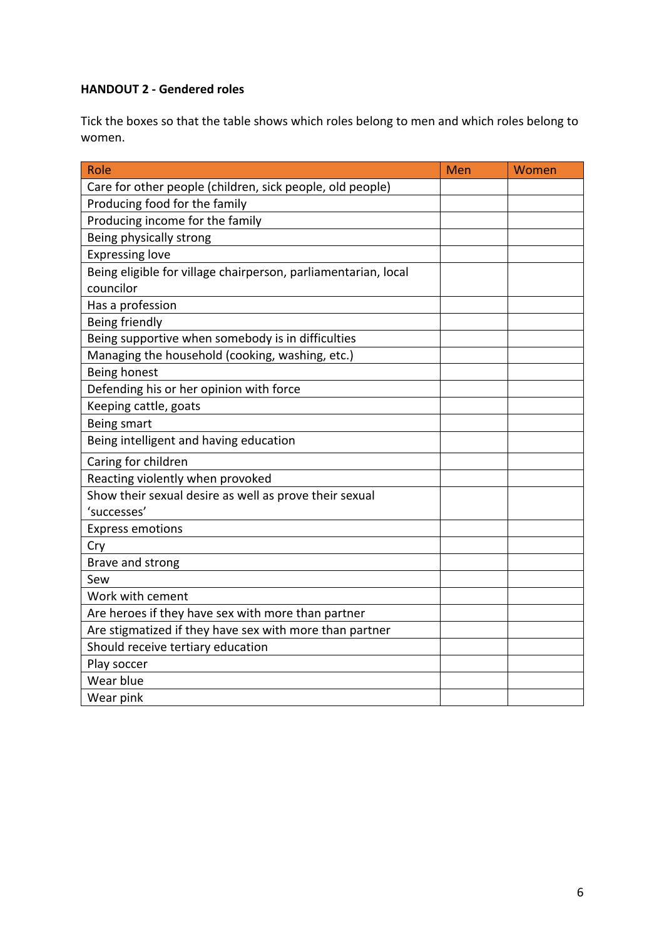## **HANDOUT 2 - Gendered roles**

Tick the boxes so that the table shows which roles belong to men and which roles belong to women.

| Role                                                                        | Men | Women |
|-----------------------------------------------------------------------------|-----|-------|
| Care for other people (children, sick people, old people)                   |     |       |
| Producing food for the family                                               |     |       |
| Producing income for the family                                             |     |       |
| Being physically strong                                                     |     |       |
| <b>Expressing love</b>                                                      |     |       |
| Being eligible for village chairperson, parliamentarian, local<br>councilor |     |       |
| Has a profession                                                            |     |       |
| Being friendly                                                              |     |       |
| Being supportive when somebody is in difficulties                           |     |       |
| Managing the household (cooking, washing, etc.)                             |     |       |
| Being honest                                                                |     |       |
| Defending his or her opinion with force                                     |     |       |
| Keeping cattle, goats                                                       |     |       |
| Being smart                                                                 |     |       |
| Being intelligent and having education                                      |     |       |
| Caring for children                                                         |     |       |
| Reacting violently when provoked                                            |     |       |
| Show their sexual desire as well as prove their sexual                      |     |       |
| 'successes'                                                                 |     |       |
| <b>Express emotions</b>                                                     |     |       |
| Cry                                                                         |     |       |
| Brave and strong                                                            |     |       |
| Sew                                                                         |     |       |
| Work with cement                                                            |     |       |
| Are heroes if they have sex with more than partner                          |     |       |
| Are stigmatized if they have sex with more than partner                     |     |       |
| Should receive tertiary education                                           |     |       |
| Play soccer                                                                 |     |       |
| Wear blue                                                                   |     |       |
| Wear pink                                                                   |     |       |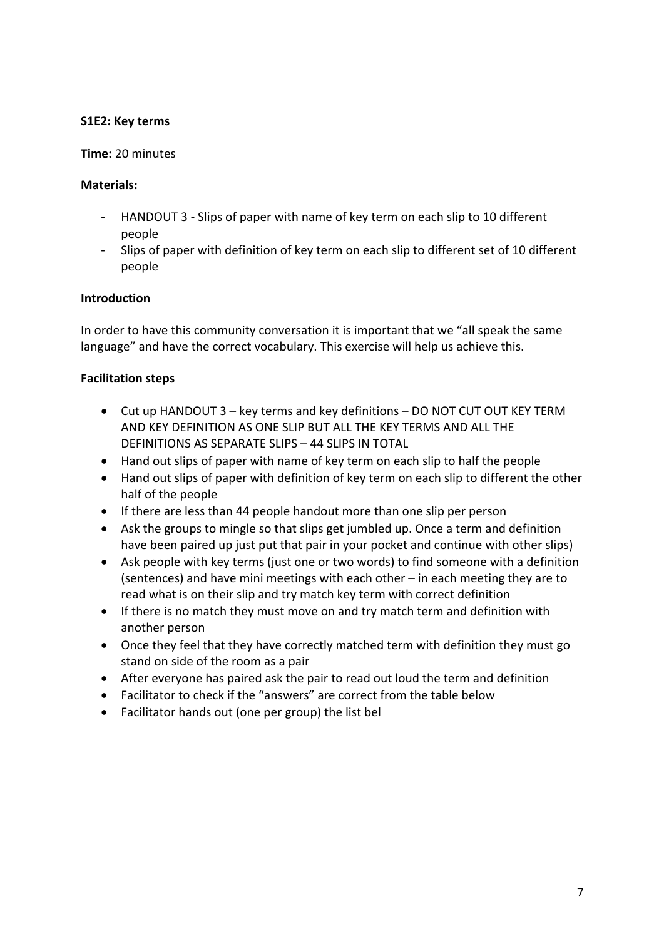## **S1E2: Key terms**

#### **Time:** 20 minutes

#### **Materials:**

- HANDOUT 3 Slips of paper with name of key term on each slip to 10 different people
- Slips of paper with definition of key term on each slip to different set of 10 different people

#### **Introduction**

In order to have this community conversation it is important that we "all speak the same language" and have the correct vocabulary. This exercise will help us achieve this.

- Cut up HANDOUT 3 key terms and key definitions DO NOT CUT OUT KEY TERM AND KEY DEFINITION AS ONE SLIP BUT ALL THE KEY TERMS AND ALL THE DEFINITIONS AS SEPARATE SLIPS – 44 SLIPS IN TOTAL
- Hand out slips of paper with name of key term on each slip to half the people
- Hand out slips of paper with definition of key term on each slip to different the other half of the people
- If there are less than 44 people handout more than one slip per person
- Ask the groups to mingle so that slips get jumbled up. Once a term and definition have been paired up just put that pair in your pocket and continue with other slips)
- Ask people with key terms (just one or two words) to find someone with a definition (sentences) and have mini meetings with each other – in each meeting they are to read what is on their slip and try match key term with correct definition
- If there is no match they must move on and try match term and definition with another person
- Once they feel that they have correctly matched term with definition they must go stand on side of the room as a pair
- After everyone has paired ask the pair to read out loud the term and definition
- Facilitator to check if the "answers" are correct from the table below
- Facilitator hands out (one per group) the list bel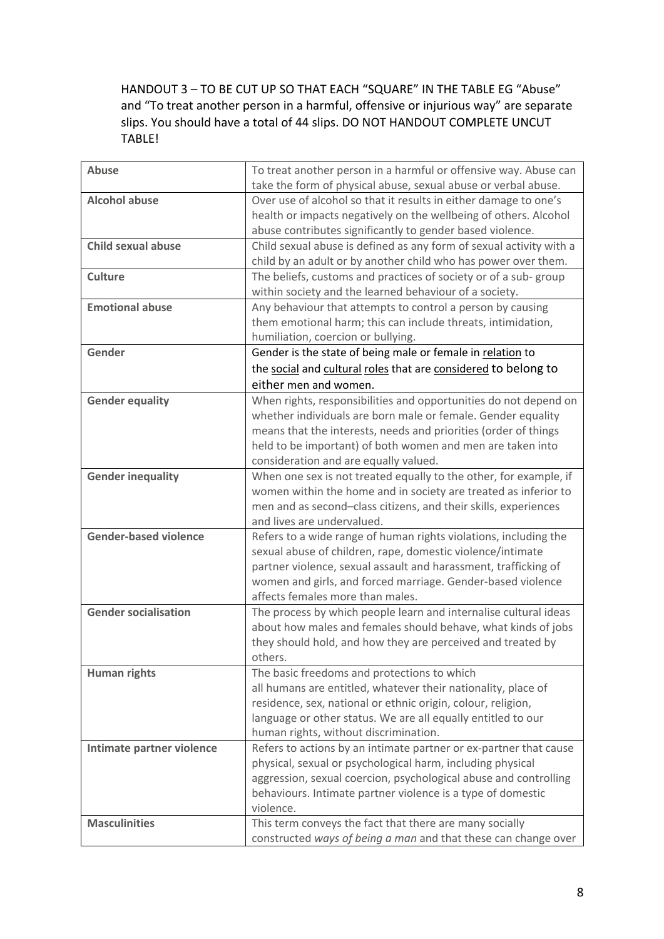HANDOUT 3 – TO BE CUT UP SO THAT EACH "SQUARE" IN THE TABLE EG "Abuse" and "To treat another person in a harmful, offensive or injurious way" are separate slips. You should have a total of 44 slips. DO NOT HANDOUT COMPLETE UNCUT TABLE!

| <b>Abuse</b>                 | To treat another person in a harmful or offensive way. Abuse can    |
|------------------------------|---------------------------------------------------------------------|
|                              | take the form of physical abuse, sexual abuse or verbal abuse.      |
| <b>Alcohol abuse</b>         | Over use of alcohol so that it results in either damage to one's    |
|                              | health or impacts negatively on the wellbeing of others. Alcohol    |
|                              | abuse contributes significantly to gender based violence.           |
| <b>Child sexual abuse</b>    | Child sexual abuse is defined as any form of sexual activity with a |
|                              | child by an adult or by another child who has power over them.      |
| <b>Culture</b>               | The beliefs, customs and practices of society or of a sub-group     |
|                              | within society and the learned behaviour of a society.              |
| <b>Emotional abuse</b>       | Any behaviour that attempts to control a person by causing          |
|                              | them emotional harm; this can include threats, intimidation,        |
|                              | humiliation, coercion or bullying.                                  |
| Gender                       | Gender is the state of being male or female in relation to          |
|                              | the social and cultural roles that are considered to belong to      |
|                              | either men and women.                                               |
| <b>Gender equality</b>       | When rights, responsibilities and opportunities do not depend on    |
|                              | whether individuals are born male or female. Gender equality        |
|                              | means that the interests, needs and priorities (order of things     |
|                              | held to be important) of both women and men are taken into          |
|                              | consideration and are equally valued.                               |
| <b>Gender inequality</b>     | When one sex is not treated equally to the other, for example, if   |
|                              | women within the home and in society are treated as inferior to     |
|                              | men and as second-class citizens, and their skills, experiences     |
|                              | and lives are undervalued.                                          |
| <b>Gender-based violence</b> | Refers to a wide range of human rights violations, including the    |
|                              | sexual abuse of children, rape, domestic violence/intimate          |
|                              | partner violence, sexual assault and harassment, trafficking of     |
|                              | women and girls, and forced marriage. Gender-based violence         |
|                              | affects females more than males.                                    |
| <b>Gender socialisation</b>  | The process by which people learn and internalise cultural ideas    |
|                              | about how males and females should behave, what kinds of jobs       |
|                              | they should hold, and how they are perceived and treated by         |
|                              | others.                                                             |
| <b>Human rights</b>          | The basic freedoms and protections to which                         |
|                              | all humans are entitled, whatever their nationality, place of       |
|                              | residence, sex, national or ethnic origin, colour, religion,        |
|                              | language or other status. We are all equally entitled to our        |
|                              | human rights, without discrimination.                               |
| Intimate partner violence    | Refers to actions by an intimate partner or ex-partner that cause   |
|                              | physical, sexual or psychological harm, including physical          |
|                              | aggression, sexual coercion, psychological abuse and controlling    |
|                              | behaviours. Intimate partner violence is a type of domestic         |
|                              | violence.                                                           |
| <b>Masculinities</b>         | This term conveys the fact that there are many socially             |
|                              | constructed ways of being a man and that these can change over      |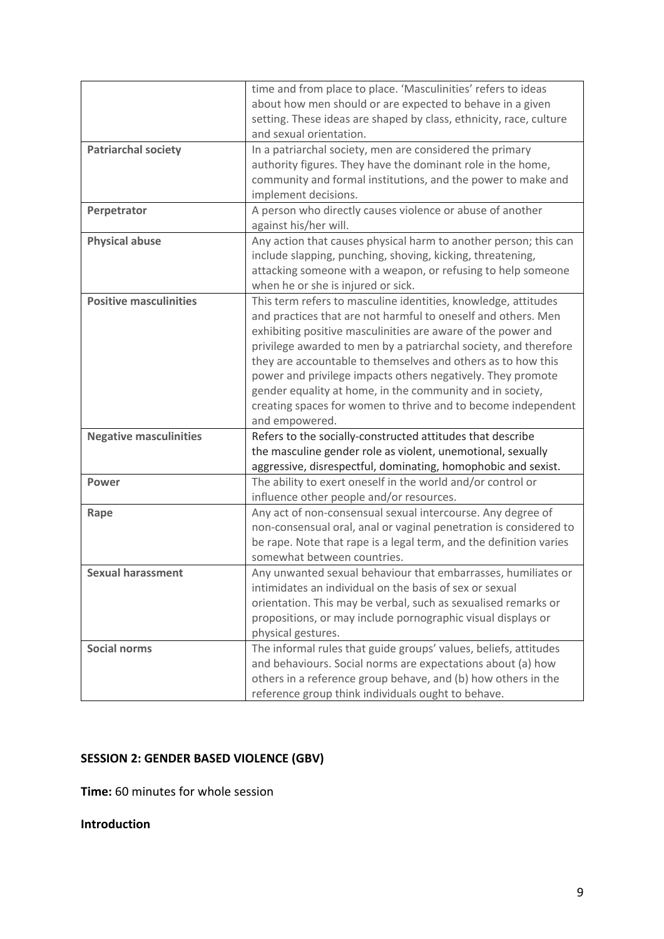|                               | time and from place to place. 'Masculinities' refers to ideas<br>about how men should or are expected to behave in a given |
|-------------------------------|----------------------------------------------------------------------------------------------------------------------------|
|                               | setting. These ideas are shaped by class, ethnicity, race, culture<br>and sexual orientation.                              |
| <b>Patriarchal society</b>    | In a patriarchal society, men are considered the primary                                                                   |
|                               | authority figures. They have the dominant role in the home,                                                                |
|                               | community and formal institutions, and the power to make and                                                               |
|                               | implement decisions.                                                                                                       |
| Perpetrator                   | A person who directly causes violence or abuse of another                                                                  |
|                               | against his/her will.                                                                                                      |
| <b>Physical abuse</b>         | Any action that causes physical harm to another person; this can                                                           |
|                               | include slapping, punching, shoving, kicking, threatening,                                                                 |
|                               | attacking someone with a weapon, or refusing to help someone                                                               |
|                               | when he or she is injured or sick.                                                                                         |
| <b>Positive masculinities</b> | This term refers to masculine identities, knowledge, attitudes                                                             |
|                               | and practices that are not harmful to oneself and others. Men                                                              |
|                               | exhibiting positive masculinities are aware of the power and                                                               |
|                               | privilege awarded to men by a patriarchal society, and therefore                                                           |
|                               | they are accountable to themselves and others as to how this                                                               |
|                               | power and privilege impacts others negatively. They promote                                                                |
|                               | gender equality at home, in the community and in society,                                                                  |
|                               | creating spaces for women to thrive and to become independent                                                              |
|                               | and empowered.                                                                                                             |
| <b>Negative masculinities</b> | Refers to the socially-constructed attitudes that describe                                                                 |
|                               | the masculine gender role as violent, unemotional, sexually                                                                |
|                               | aggressive, disrespectful, dominating, homophobic and sexist.                                                              |
| <b>Power</b>                  | The ability to exert oneself in the world and/or control or                                                                |
|                               | influence other people and/or resources.                                                                                   |
| Rape                          | Any act of non-consensual sexual intercourse. Any degree of                                                                |
|                               | non-consensual oral, anal or vaginal penetration is considered to                                                          |
|                               | be rape. Note that rape is a legal term, and the definition varies                                                         |
|                               | somewhat between countries.                                                                                                |
| <b>Sexual harassment</b>      | Any unwanted sexual behaviour that embarrasses, humiliates or                                                              |
|                               | intimidates an individual on the basis of sex or sexual                                                                    |
|                               | orientation. This may be verbal, such as sexualised remarks or                                                             |
|                               | propositions, or may include pornographic visual displays or                                                               |
|                               | physical gestures.                                                                                                         |
| <b>Social norms</b>           | The informal rules that guide groups' values, beliefs, attitudes                                                           |
|                               | and behaviours. Social norms are expectations about (a) how                                                                |
|                               | others in a reference group behave, and (b) how others in the                                                              |
|                               | reference group think individuals ought to behave.                                                                         |

## **SESSION 2: GENDER BASED VIOLENCE (GBV)**

**Time:** 60 minutes for whole session

## **Introduction**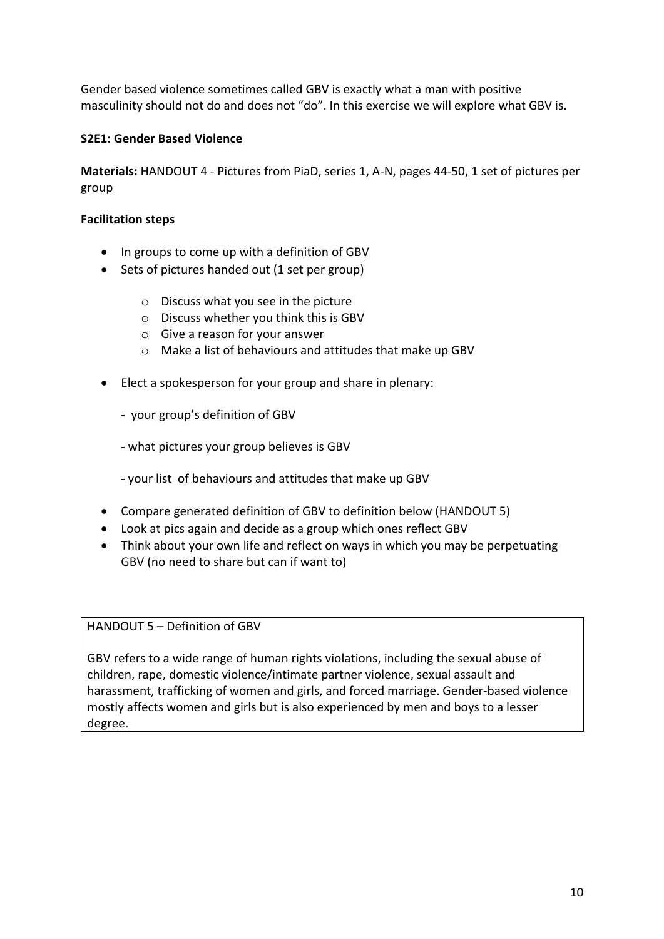Gender based violence sometimes called GBV is exactly what a man with positive masculinity should not do and does not "do". In this exercise we will explore what GBV is.

## **S2E1: Gender Based Violence**

**Materials:** HANDOUT 4 - Pictures from PiaD, series 1, A-N, pages 44-50, 1 set of pictures per group

#### **Facilitation steps**

- In groups to come up with a definition of GBV
- Sets of pictures handed out (1 set per group)
	- o Discuss what you see in the picture
	- o Discuss whether you think this is GBV
	- o Give a reason for your answer
	- o Make a list of behaviours and attitudes that make up GBV
- Elect a spokesperson for your group and share in plenary:
	- your group's definition of GBV
	- what pictures your group believes is GBV
	- your list of behaviours and attitudes that make up GBV
- Compare generated definition of GBV to definition below (HANDOUT 5)
- Look at pics again and decide as a group which ones reflect GBV
- Think about your own life and reflect on ways in which you may be perpetuating GBV (no need to share but can if want to)

#### HANDOUT 5 – Definition of GBV

GBV refers to a wide range of human rights violations, including the sexual abuse of children, rape, domestic violence/intimate partner violence, sexual assault and harassment, trafficking of women and girls, and forced marriage. Gender-based violence mostly affects women and girls but is also experienced by men and boys to a lesser degree**.**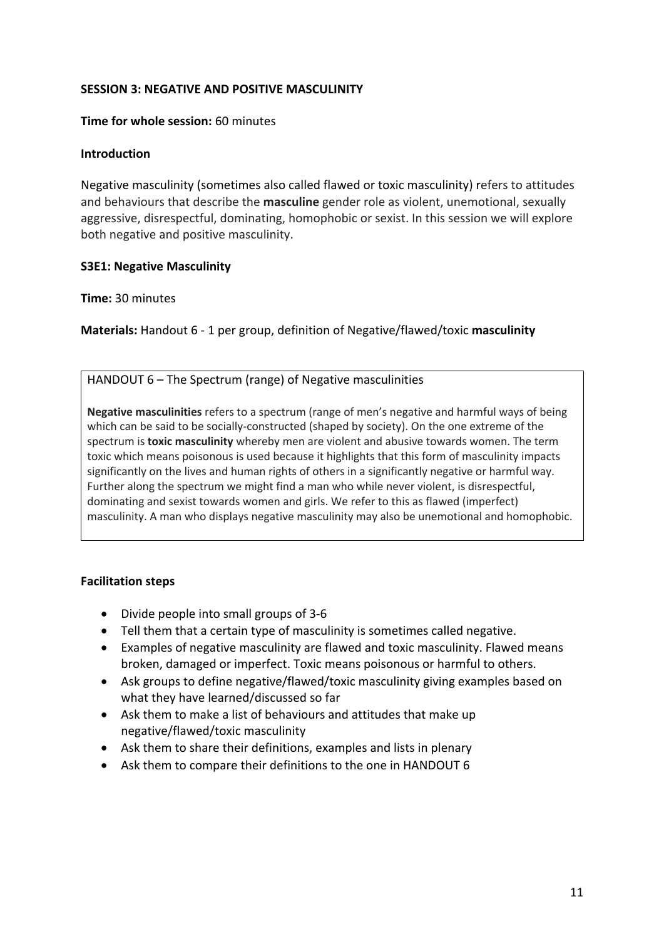## **SESSION 3: NEGATIVE AND POSITIVE MASCULINITY**

#### **Time for whole session:** 60 minutes

#### **Introduction**

Negative masculinity (sometimes also called flawed or toxic masculinity) refers to attitudes and behaviours that describe the **masculine** gender role as violent, unemotional, sexually aggressive, disrespectful, dominating, homophobic or sexist. In this session we will explore both negative and positive masculinity.

## **S3E1: Negative Masculinity**

#### **Time:** 30 minutes

**Materials:** Handout 6 - 1 per group, definition of Negative/flawed/toxic **masculinity** 

## HANDOUT 6 – The Spectrum (range) of Negative masculinities

**Negative masculinities** refers to a spectrum (range of men's negative and harmful ways of being which can be said to be socially-constructed (shaped by society). On the one extreme of the spectrum is **toxic masculinity** whereby men are violent and abusive towards women. The term toxic which means poisonous is used because it highlights that this form of masculinity impacts significantly on the lives and human rights of others in a significantly negative or harmful way. Further along the spectrum we might find a man who while never violent, is disrespectful, dominating and sexist towards women and girls. We refer to this as flawed (imperfect) masculinity. A man who displays negative masculinity may also be unemotional and homophobic.

- Divide people into small groups of 3-6
- Tell them that a certain type of masculinity is sometimes called negative.
- Examples of negative masculinity are flawed and toxic masculinity. Flawed means broken, damaged or imperfect. Toxic means poisonous or harmful to others.
- Ask groups to define negative/flawed/toxic masculinity giving examples based on what they have learned/discussed so far
- Ask them to make a list of behaviours and attitudes that make up negative/flawed/toxic masculinity
- Ask them to share their definitions, examples and lists in plenary
- Ask them to compare their definitions to the one in HANDOUT 6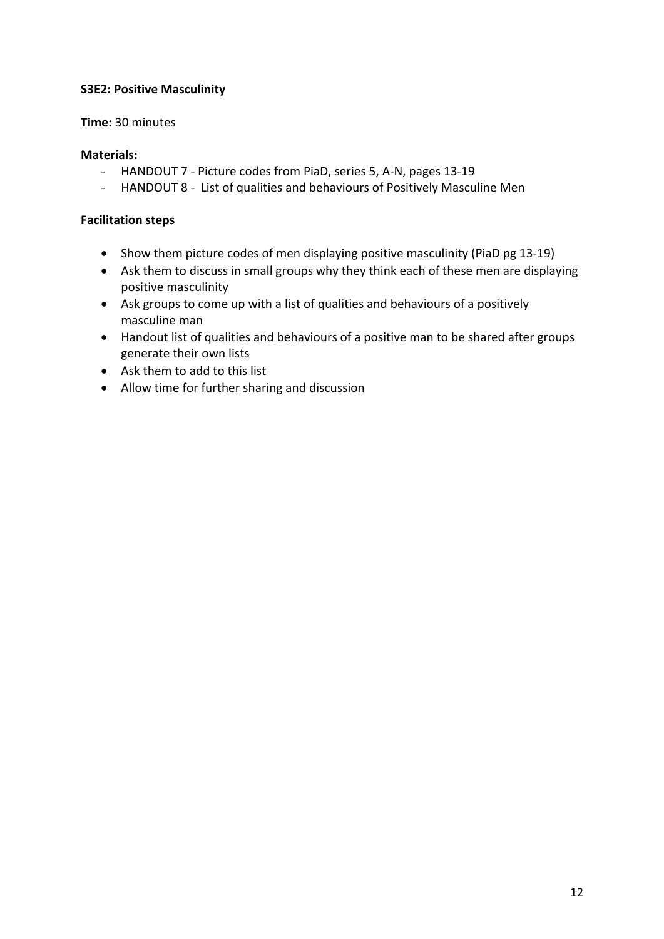## **S3E2: Positive Masculinity**

## **Time:** 30 minutes

## **Materials:**

- HANDOUT 7 Picture codes from PiaD, series 5, A-N, pages 13-19
- HANDOUT 8 List of qualities and behaviours of Positively Masculine Men

- Show them picture codes of men displaying positive masculinity (PiaD pg 13-19)
- Ask them to discuss in small groups why they think each of these men are displaying positive masculinity
- Ask groups to come up with a list of qualities and behaviours of a positively masculine man
- Handout list of qualities and behaviours of a positive man to be shared after groups generate their own lists
- Ask them to add to this list
- Allow time for further sharing and discussion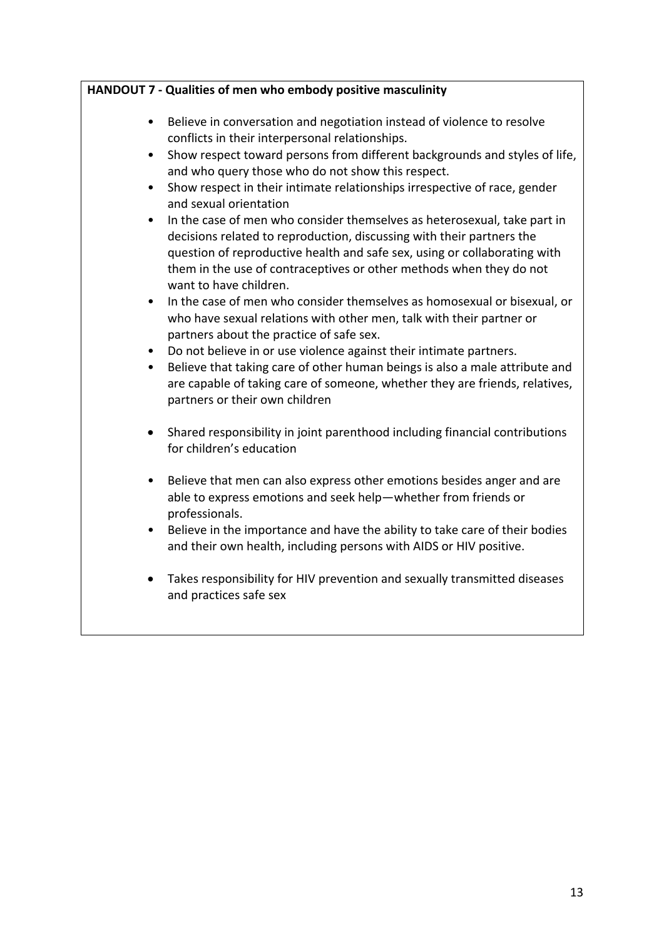|           | HANDOUT 7 - Qualities of men who embody positive masculinity                                                                                                                                                                                                                                                                    |
|-----------|---------------------------------------------------------------------------------------------------------------------------------------------------------------------------------------------------------------------------------------------------------------------------------------------------------------------------------|
| $\bullet$ | Believe in conversation and negotiation instead of violence to resolve<br>conflicts in their interpersonal relationships.                                                                                                                                                                                                       |
|           | Show respect toward persons from different backgrounds and styles of life,<br>and who query those who do not show this respect.                                                                                                                                                                                                 |
|           | Show respect in their intimate relationships irrespective of race, gender<br>and sexual orientation                                                                                                                                                                                                                             |
| $\bullet$ | In the case of men who consider themselves as heterosexual, take part in<br>decisions related to reproduction, discussing with their partners the<br>question of reproductive health and safe sex, using or collaborating with<br>them in the use of contraceptives or other methods when they do not<br>want to have children. |
| $\bullet$ | In the case of men who consider themselves as homosexual or bisexual, or<br>who have sexual relations with other men, talk with their partner or<br>partners about the practice of safe sex.                                                                                                                                    |
|           | Do not believe in or use violence against their intimate partners.<br>Believe that taking care of other human beings is also a male attribute and<br>are capable of taking care of someone, whether they are friends, relatives,<br>partners or their own children                                                              |
|           | Shared responsibility in joint parenthood including financial contributions<br>for children's education                                                                                                                                                                                                                         |
| $\bullet$ | Believe that men can also express other emotions besides anger and are<br>able to express emotions and seek help-whether from friends or<br>professionals.                                                                                                                                                                      |
|           | Believe in the importance and have the ability to take care of their bodies<br>and their own health, including persons with AIDS or HIV positive.                                                                                                                                                                               |
|           | Takes responsibility for HIV prevention and sexually transmitted diseases<br>and practices safe sex                                                                                                                                                                                                                             |
|           |                                                                                                                                                                                                                                                                                                                                 |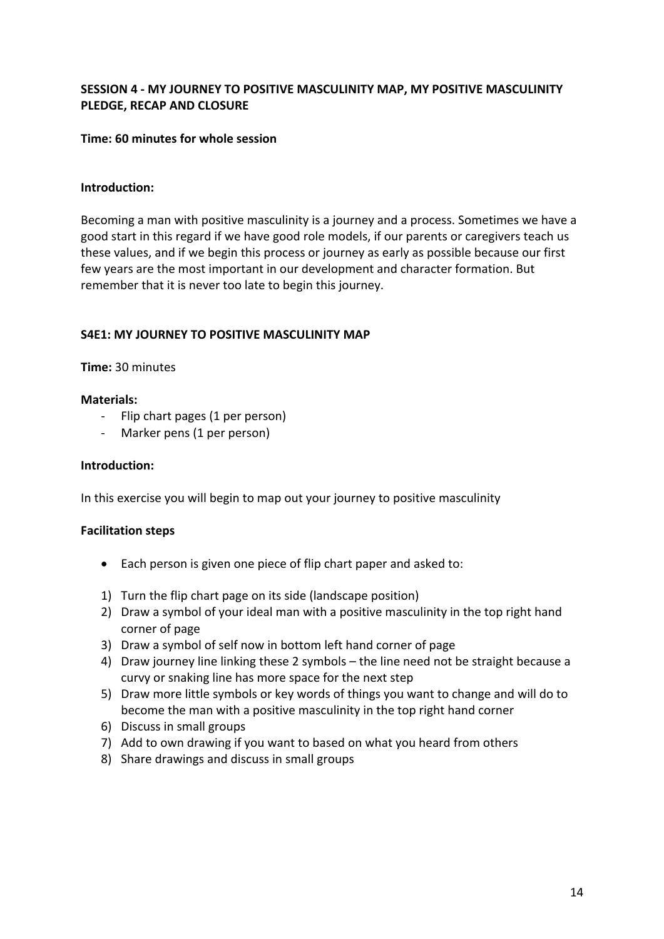## **SESSION 4 - MY JOURNEY TO POSITIVE MASCULINITY MAP, MY POSITIVE MASCULINITY PLEDGE, RECAP AND CLOSURE**

## **Time: 60 minutes for whole session**

#### **Introduction:**

Becoming a man with positive masculinity is a journey and a process. Sometimes we have a good start in this regard if we have good role models, if our parents or caregivers teach us these values, and if we begin this process or journey as early as possible because our first few years are the most important in our development and character formation. But remember that it is never too late to begin this journey.

## **S4E1: MY JOURNEY TO POSITIVE MASCULINITY MAP**

#### **Time:** 30 minutes

#### **Materials:**

- Flip chart pages (1 per person)
- Marker pens (1 per person)

#### **Introduction:**

In this exercise you will begin to map out your journey to positive masculinity

- Each person is given one piece of flip chart paper and asked to:
- 1) Turn the flip chart page on its side (landscape position)
- 2) Draw a symbol of your ideal man with a positive masculinity in the top right hand corner of page
- 3) Draw a symbol of self now in bottom left hand corner of page
- 4) Draw journey line linking these 2 symbols the line need not be straight because a curvy or snaking line has more space for the next step
- 5) Draw more little symbols or key words of things you want to change and will do to become the man with a positive masculinity in the top right hand corner
- 6) Discuss in small groups
- 7) Add to own drawing if you want to based on what you heard from others
- 8) Share drawings and discuss in small groups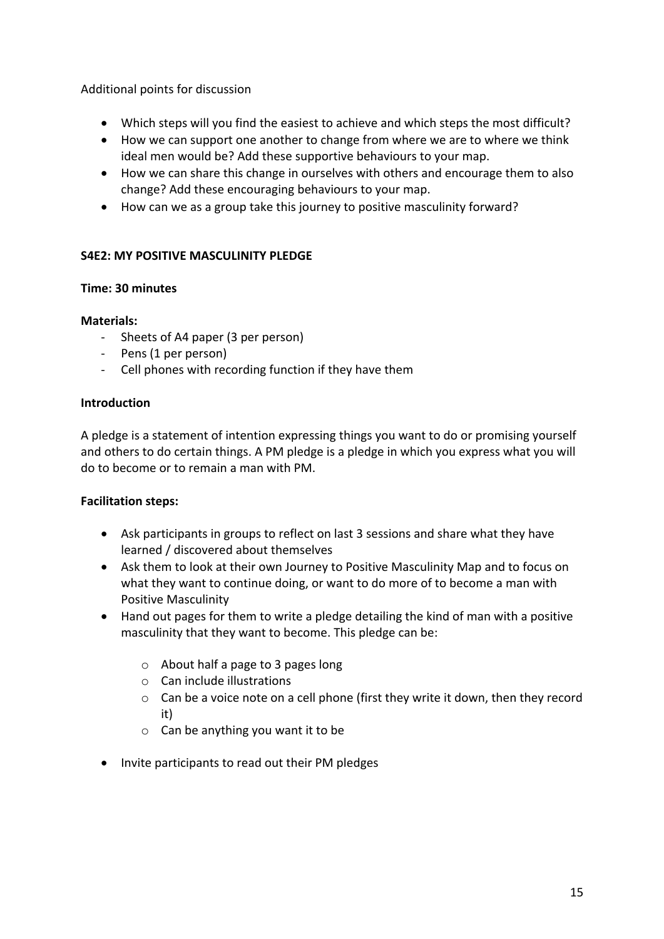## Additional points for discussion

- Which steps will you find the easiest to achieve and which steps the most difficult?
- How we can support one another to change from where we are to where we think ideal men would be? Add these supportive behaviours to your map.
- How we can share this change in ourselves with others and encourage them to also change? Add these encouraging behaviours to your map.
- How can we as a group take this journey to positive masculinity forward?

## **S4E2: MY POSITIVE MASCULINITY PLEDGE**

## **Time: 30 minutes**

## **Materials:**

- Sheets of A4 paper (3 per person)
- Pens (1 per person)
- Cell phones with recording function if they have them

## **Introduction**

A pledge is a statement of intention expressing things you want to do or promising yourself and others to do certain things. A PM pledge is a pledge in which you express what you will do to become or to remain a man with PM.

- Ask participants in groups to reflect on last 3 sessions and share what they have learned / discovered about themselves
- Ask them to look at their own Journey to Positive Masculinity Map and to focus on what they want to continue doing, or want to do more of to become a man with Positive Masculinity
- Hand out pages for them to write a pledge detailing the kind of man with a positive masculinity that they want to become. This pledge can be:
	- o About half a page to 3 pages long
	- o Can include illustrations
	- $\circ$  Can be a voice note on a cell phone (first they write it down, then they record it)
	- o Can be anything you want it to be
- Invite participants to read out their PM pledges